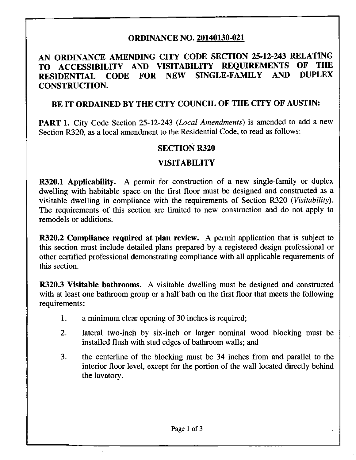### **ORDINANCE NO. 20140130-021**

# **AN ORDINANCE AMENDING CITY CODE SECTION 25-12-243 RELATING<br>
TO ACCESSIBILITY AND VISITABILITY REQUIREMENTS OF THE TO ACCESSIBILITY AND VISITABILITY REQUIREMENTS OF THE RESIDENTIAL CODE FOR NEW SINGLE-FAMILY CONSTRUCTION.**

## **BE IT ORDAINED BY THE CITY COUNCIL OF THE CITY OF AUSTIN:**

PART 1. City Code Section 25-12-243 (Local Amendments) is amended to add a new Section R320, as a local amendment to the Residential Code, to read as follows:

#### **SECTION R320**

#### **VISITABILITY**

R320.1 Applicability. A permit for construction of a new single-family or duplex dwelling with habitable space on the first floor must be designed and constructed as a visitable dwelling in compliance with the requirements of Section R320 (Visitability). The requirements of this section are limited to new construction and do not apply to remodels or additions.

R320.2 Compliance required at plan review. A permit application that is subject to this section must include detailed plans prepared by a registered design professional or other certified professional demonstrating compliance with all applicable requirements of this section.

R320.3 Visitable bathrooms. A visitable dwelling must be designed and constructed with at least one bathroom group or a half bath on the first floor that meets the following requirements:

- 1. a minimum clear opening of 30 inches is required;
- 2. lateral two-inch by six-inch or larger nominal wood blocking must be installed flush with stud edges of bathroom walls; and
- 3. the centerline of the blocking must be 34 inches from and parallel to the interior floor level, except for the portion of the wall located directly behind the lavatory.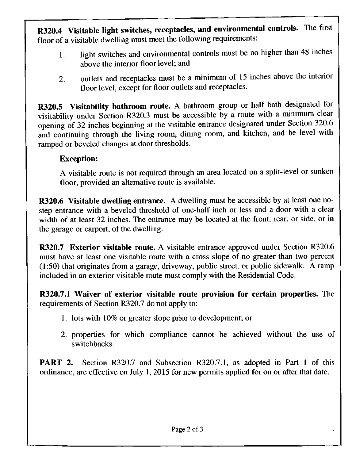R320.4 Visitable light switches, receptacles, and environmental controls. The first floor of a visitable dwelling must meet the following requirements:

- 1. light switches and environmental controls must be no higher than 48 inches above the interior floor level; and
- 2. outlets and receptacles must be a minimum of 15 inches above the interior floor level, except for floor outlets and receptacles.

R320.5 Visitability bathroom route. A bathroom group or half bath designated for visitability under Section R320.3 must be accessible by a route with a minimum clear opening of 32 inches beginning at the visitable entrance designated under Section 320.6 and continuing through the living room, dining room, and kitchen, and be level with ramped or beveled changes at door thresholds.

## **Exception:**

A visitable route is not required through an area located on a split-level or sunken floor, provided an altemative route is available.

R320.6 Visitable dwelling entrance. A dwelling must be accessible by at least one nostep entrance with a beveled threshold of one-half inch or less and a door with a clear width of at least 32 inches. The entrance may be located at the front, rear, or side, or in the garage or carport, of the dwelling.

R320.7 Exterior visitable route. A visitable entrance approved under Section R320.6 must have at least one visitable route with a cross slope of no greater than two percent (1:50) that originates from a garage, driveway, public street, or public sidewalk. A ramp included in an exterior visitable route must comply with the Residential Code.

R320.7.1 Waiver of exterior visitable route provision for certain properties. The requirements of Section R320.7 do not apply to:

- 1. lots with 10% or greater slope prior to development; or
- 2. properties for which compliance cannot be achieved without the use of switchbacks.

**PART 2.** Section R320.7 and Subsection R320.7.1, as adopted in Part 1 of this ordinance, are effective on July 1, 2015 for new permits apphed for on or after that date.